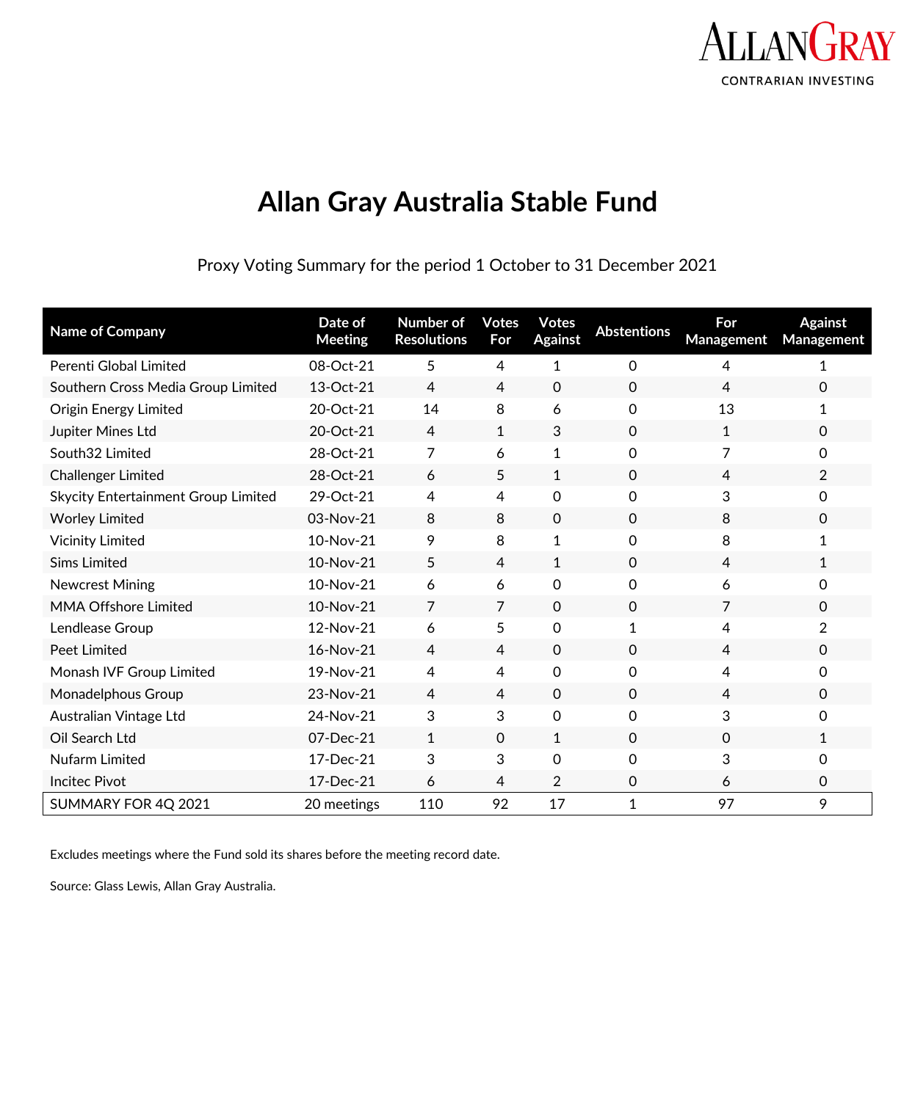

# **Allan Gray Australia Stable Fund**

Proxy Voting Summary for the period 1 October to 31 December 2021

| <b>Name of Company</b>                     | Date of<br><b>Meeting</b> | <b>Number of</b><br><b>Resolutions</b> | <b>Votes</b><br>For | <b>Votes</b><br><b>Against</b> | <b>Abstentions</b> | For<br><b>Management</b> | <b>Against</b><br>Management |
|--------------------------------------------|---------------------------|----------------------------------------|---------------------|--------------------------------|--------------------|--------------------------|------------------------------|
| Perenti Global Limited                     | 08-Oct-21                 | 5                                      | 4                   | $\mathbf{1}$                   | 0                  | 4                        | 1                            |
| Southern Cross Media Group Limited         | 13-Oct-21                 | $\overline{4}$                         | $\overline{4}$      | $\mathbf 0$                    | $\mathbf 0$        | 4                        | 0                            |
| Origin Energy Limited                      | 20-Oct-21                 | 14                                     | 8                   | 6                              | $\mathbf 0$        | 13                       | 1                            |
| Jupiter Mines Ltd                          | 20-Oct-21                 | $\overline{4}$                         | $\mathbf{1}$        | 3                              | $\mathbf{0}$       | 1                        | 0                            |
| South32 Limited                            | 28-Oct-21                 | 7                                      | 6                   | $\mathbf{1}$                   | 0                  | 7                        | 0                            |
| Challenger Limited                         | 28-Oct-21                 | 6                                      | 5                   | 1                              | $\mathbf{0}$       | 4                        | $\overline{2}$               |
| <b>Skycity Entertainment Group Limited</b> | 29-Oct-21                 | 4                                      | $\overline{4}$      | 0                              | 0                  | 3                        | 0                            |
| <b>Worley Limited</b>                      | 03-Nov-21                 | 8                                      | 8                   | $\Omega$                       | $\mathbf{0}$       | 8                        | 0                            |
| <b>Vicinity Limited</b>                    | 10-Nov-21                 | 9                                      | 8                   | $\mathbf{1}$                   | 0                  | 8                        | 1                            |
| <b>Sims Limited</b>                        | 10-Nov-21                 | 5                                      | 4                   | 1                              | $\mathbf 0$        | 4                        | 1                            |
| <b>Newcrest Mining</b>                     | 10-Nov-21                 | 6                                      | 6                   | 0                              | 0                  | 6                        | 0                            |
| <b>MMA Offshore Limited</b>                | 10-Nov-21                 | $\overline{7}$                         | 7                   | $\mathbf 0$                    | $\mathbf{0}$       | 7                        | $\Omega$                     |
| Lendlease Group                            | 12-Nov-21                 | 6                                      | 5                   | 0                              | 1                  | 4                        | $\overline{2}$               |
| <b>Peet Limited</b>                        | 16-Nov-21                 | 4                                      | 4                   | $\mathbf{0}$                   | $\mathbf{0}$       | 4                        | 0                            |
| Monash IVF Group Limited                   | 19-Nov-21                 | 4                                      | 4                   | 0                              | 0                  | 4                        | 0                            |
| Monadelphous Group                         | 23-Nov-21                 | 4                                      | 4                   | $\mathbf 0$                    | $\mathbf 0$        | 4                        | $\Omega$                     |
| Australian Vintage Ltd                     | 24-Nov-21                 | 3                                      | 3                   | 0                              | 0                  | 3                        | 0                            |
| Oil Search Ltd                             | 07-Dec-21                 | $\mathbf{1}$                           | $\Omega$            | 1                              | $\mathbf{0}$       | $\Omega$                 | $\mathbf{1}$                 |
| Nufarm Limited                             | 17-Dec-21                 | 3                                      | 3                   | 0                              | 0                  | 3                        | 0                            |
| <b>Incitec Pivot</b>                       | 17-Dec-21                 | 6                                      | 4                   | $\overline{2}$                 | 0                  | 6                        | 0                            |
| SUMMARY FOR 4Q 2021                        | 20 meetings               | 110                                    | 92                  | 17                             | 1                  | 97                       | 9                            |

Excludes meetings where the Fund sold its shares before the meeting record date.

Source: Glass Lewis, Allan Gray Australia.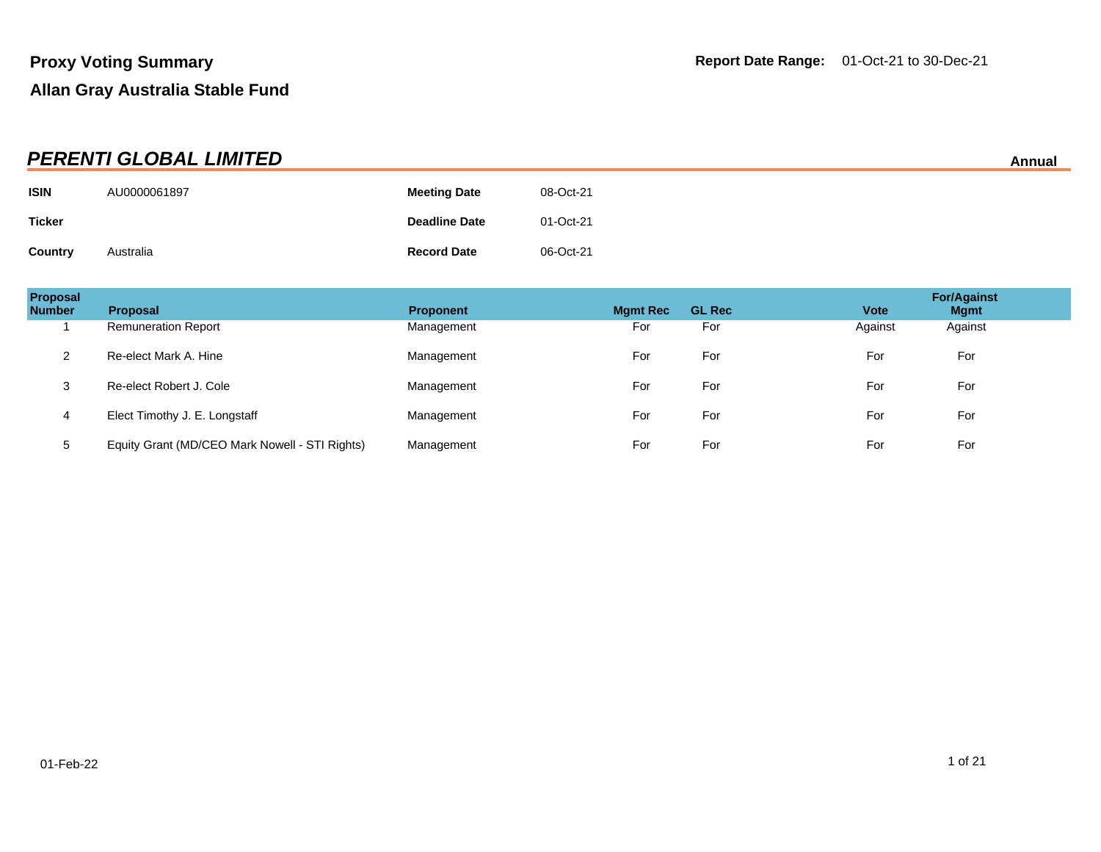| <b>PERENTI GLOBAL LIMITED</b><br>Annual |              |                      |           |  |  |
|-----------------------------------------|--------------|----------------------|-----------|--|--|
| <b>ISIN</b>                             | AU0000061897 | <b>Meeting Date</b>  | 08-Oct-21 |  |  |
| <b>Ticker</b>                           |              | <b>Deadline Date</b> | 01-Oct-21 |  |  |
| Country                                 | Australia    | <b>Record Date</b>   | 06-Oct-21 |  |  |

| Proposal<br><b>Number</b> | <b>Proposal</b>                                | <b>Proponent</b> | <b>Mgmt Rec</b> | <b>GL Rec</b> | <b>Vote</b> | <b>For/Against</b><br><b>Mgmt</b> |
|---------------------------|------------------------------------------------|------------------|-----------------|---------------|-------------|-----------------------------------|
|                           | <b>Remuneration Report</b>                     | Management       | For             | For           | Against     | Against                           |
| 2                         | Re-elect Mark A. Hine                          | Management       | For             | For           | For         | For                               |
| 3                         | Re-elect Robert J. Cole                        | Management       | For             | For           | For         | For                               |
| 4                         | Elect Timothy J. E. Longstaff                  | Management       | For             | For           | For         | For                               |
| 5                         | Equity Grant (MD/CEO Mark Nowell - STI Rights) | Management       | For             | For           | For         | For                               |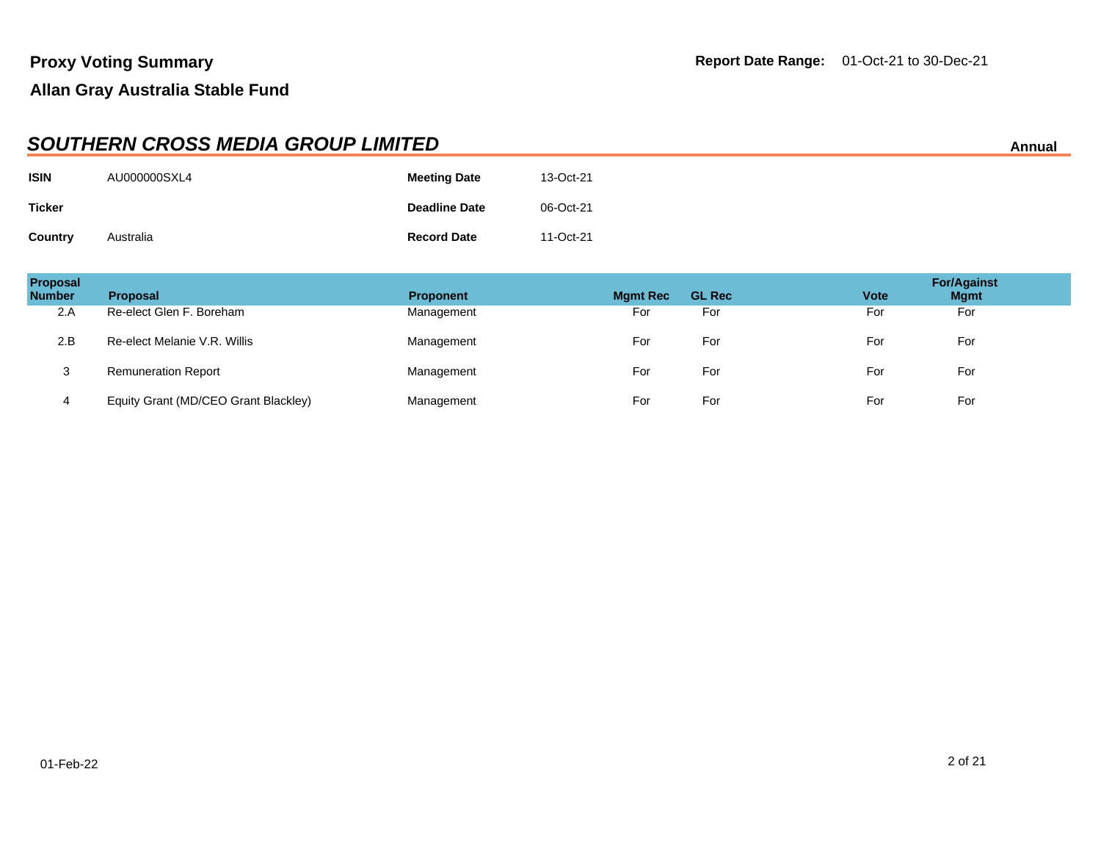|                | <b>SOUTHERN CROSS MEDIA GROUP LIMITED</b><br>Annual |                      |           |  |  |  |
|----------------|-----------------------------------------------------|----------------------|-----------|--|--|--|
| <b>ISIN</b>    | AU000000SXL4                                        | <b>Meeting Date</b>  | 13-Oct-21 |  |  |  |
| <b>Ticker</b>  |                                                     | <b>Deadline Date</b> | 06-Oct-21 |  |  |  |
| <b>Country</b> | Australia                                           | <b>Record Date</b>   | 11-Oct-21 |  |  |  |

| Proposal<br><b>Number</b> | <b>Proposal</b>                      | <b>Proponent</b> | <b>Mgmt Rec</b> | <b>GL Rec</b> | <b>Vote</b> | <b>For/Against</b><br><b>Mgmt</b> |
|---------------------------|--------------------------------------|------------------|-----------------|---------------|-------------|-----------------------------------|
| 2.A                       | Re-elect Glen F. Boreham             | Management       | For             | For           | For         | For                               |
| 2.B                       | Re-elect Melanie V.R. Willis         | Management       | For             | For           | For         | For                               |
| 3                         | <b>Remuneration Report</b>           | Management       | For             | For           | For         | For                               |
| 4                         | Equity Grant (MD/CEO Grant Blackley) | Management       | For             | For           | For         | For                               |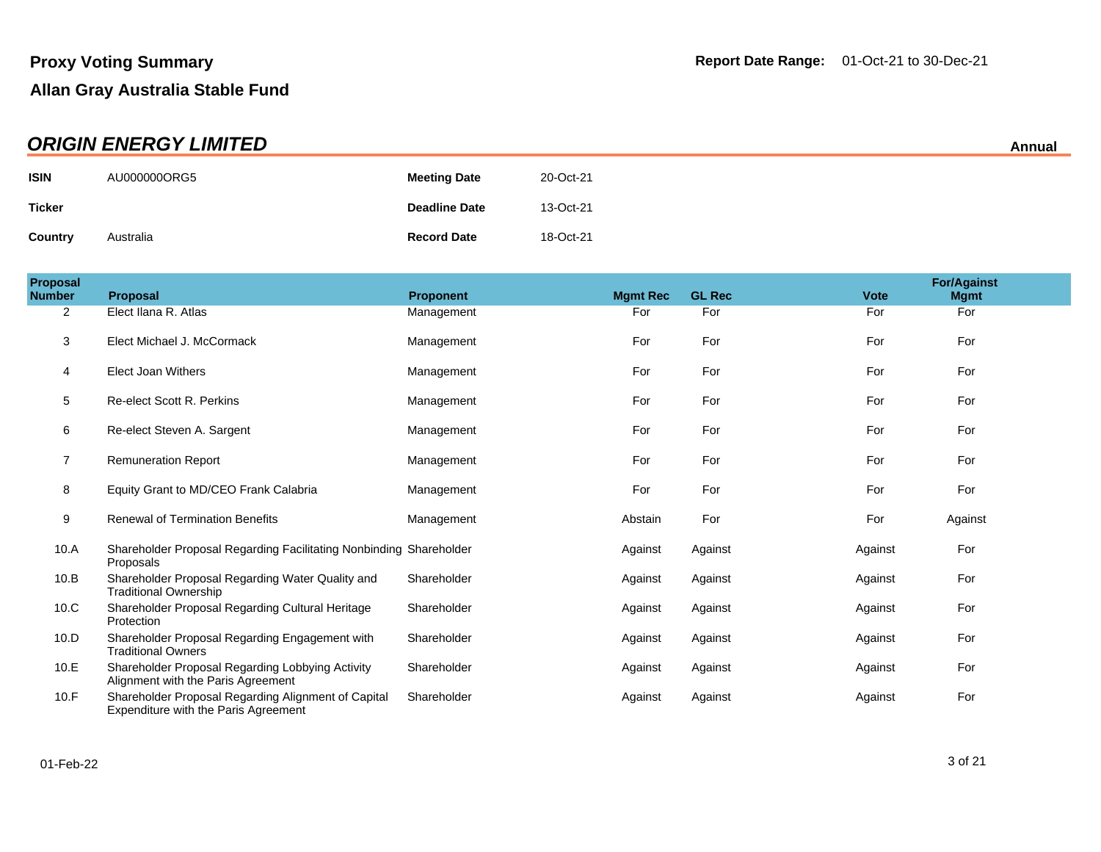| <b>ORIGIN ENERGY LIMITED</b> |              |                      |           |  |
|------------------------------|--------------|----------------------|-----------|--|
| <b>ISIN</b>                  | AU000000ORG5 | <b>Meeting Date</b>  | 20-Oct-21 |  |
| <b>Ticker</b>                |              | <b>Deadline Date</b> | 13-Oct-21 |  |
| Country                      | Australia    | <b>Record Date</b>   | 18-Oct-21 |  |

| <b>Proposal</b><br><b>Number</b> | Proposal                                                                                    | <b>Proponent</b> | <b>Mgmt Rec</b> | <b>GL Rec</b> | <b>Vote</b> | <b>For/Against</b><br><b>Mgmt</b> |
|----------------------------------|---------------------------------------------------------------------------------------------|------------------|-----------------|---------------|-------------|-----------------------------------|
| 2                                | Elect Ilana R. Atlas                                                                        | Management       | For             | For           | For         | For                               |
| 3                                | Elect Michael J. McCormack                                                                  | Management       | For             | For           | For         | For                               |
| 4                                | <b>Elect Joan Withers</b>                                                                   | Management       | For             | For           | For         | For                               |
| 5                                | Re-elect Scott R. Perkins                                                                   | Management       | For             | For           | For         | For                               |
| 6                                | Re-elect Steven A. Sargent                                                                  | Management       | For             | For           | For         | For                               |
| 7                                | <b>Remuneration Report</b>                                                                  | Management       | For             | For           | For         | For                               |
| 8                                | Equity Grant to MD/CEO Frank Calabria                                                       | Management       | For             | For           | For         | For                               |
| 9                                | <b>Renewal of Termination Benefits</b>                                                      | Management       | Abstain         | For           | For         | Against                           |
| 10.A                             | Shareholder Proposal Regarding Facilitating Nonbinding Shareholder<br>Proposals             |                  | Against         | Against       | Against     | For                               |
| 10.B                             | Shareholder Proposal Regarding Water Quality and<br><b>Traditional Ownership</b>            | Shareholder      | Against         | Against       | Against     | For                               |
| 10.C                             | Shareholder Proposal Regarding Cultural Heritage<br>Protection                              | Shareholder      | Against         | Against       | Against     | For                               |
| 10.D                             | Shareholder Proposal Regarding Engagement with<br><b>Traditional Owners</b>                 | Shareholder      | Against         | Against       | Against     | For                               |
| 10.E                             | Shareholder Proposal Regarding Lobbying Activity<br>Alignment with the Paris Agreement      | Shareholder      | Against         | Against       | Against     | For                               |
| 10.F                             | Shareholder Proposal Regarding Alignment of Capital<br>Expenditure with the Paris Agreement | Shareholder      | Against         | Against       | Against     | For                               |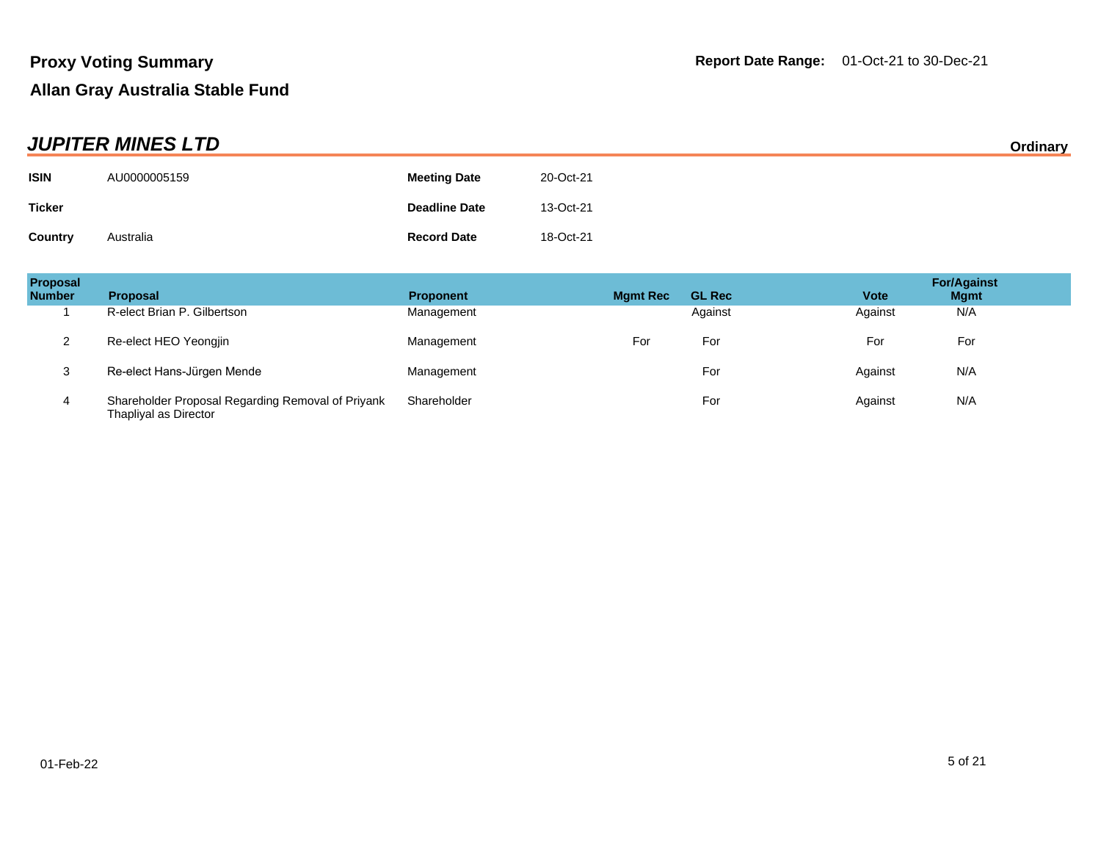| <b>JUPITER MINES LTD</b> |              |                      |           | Ordinary |
|--------------------------|--------------|----------------------|-----------|----------|
| <b>ISIN</b>              | AU0000005159 | <b>Meeting Date</b>  | 20-Oct-21 |          |
| <b>Ticker</b>            |              | <b>Deadline Date</b> | 13-Oct-21 |          |
| Country                  | Australia    | <b>Record Date</b>   | 18-Oct-21 |          |

| <b>Proposal</b><br><b>Number</b> | <b>Proposal</b>                                                            | <b>Proponent</b> | <b>Mgmt Rec</b> | <b>GL Rec</b> | <b>Vote</b> | <b>For/Against</b><br><b>Mgmt</b> |
|----------------------------------|----------------------------------------------------------------------------|------------------|-----------------|---------------|-------------|-----------------------------------|
|                                  | R-elect Brian P. Gilbertson                                                | Management       |                 | Against       | Against     | N/A                               |
| っ                                | Re-elect HEO Yeongjin                                                      | Management       | For             | For           | For         | For                               |
| 3                                | Re-elect Hans-Jürgen Mende                                                 | Management       |                 | For           | Against     | N/A                               |
| 4                                | Shareholder Proposal Regarding Removal of Priyank<br>Thapliyal as Director | Shareholder      |                 | For           | Against     | N/A                               |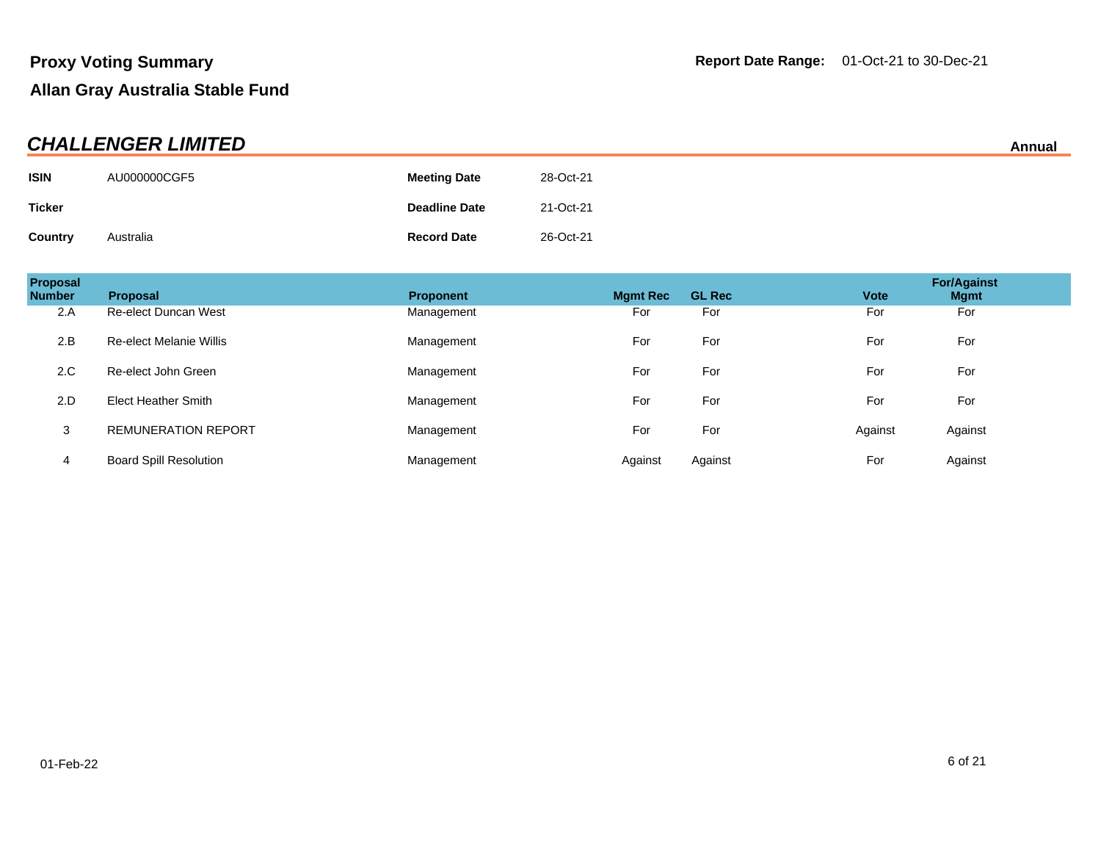| <b>CHALLENGER LIMITED</b> |              |                      |           |  |
|---------------------------|--------------|----------------------|-----------|--|
| <b>ISIN</b>               | AU000000CGF5 | <b>Meeting Date</b>  | 28-Oct-21 |  |
| Ticker                    |              | <b>Deadline Date</b> | 21-Oct-21 |  |
| Country                   | Australia    | <b>Record Date</b>   | 26-Oct-21 |  |

| Proposal<br><b>Number</b> | Proposal                      | <b>Proponent</b> | <b>Mamt Rec</b> | <b>GL Rec</b> | <b>Vote</b> | <b>For/Against</b><br><b>Mgmt</b> |
|---------------------------|-------------------------------|------------------|-----------------|---------------|-------------|-----------------------------------|
| 2.A                       | <b>Re-elect Duncan West</b>   | Management       | For             | For           | For         | For                               |
| 2.B                       | Re-elect Melanie Willis       | Management       | For             | For           | For         | For                               |
| 2.C                       | Re-elect John Green           | Management       | For             | For           | For         | For                               |
| 2.D                       | <b>Elect Heather Smith</b>    | Management       | For             | For           | For         | For                               |
| 3                         | <b>REMUNERATION REPORT</b>    | Management       | For             | For           | Against     | Against                           |
| 4                         | <b>Board Spill Resolution</b> | Management       | Against         | Against       | For         | Against                           |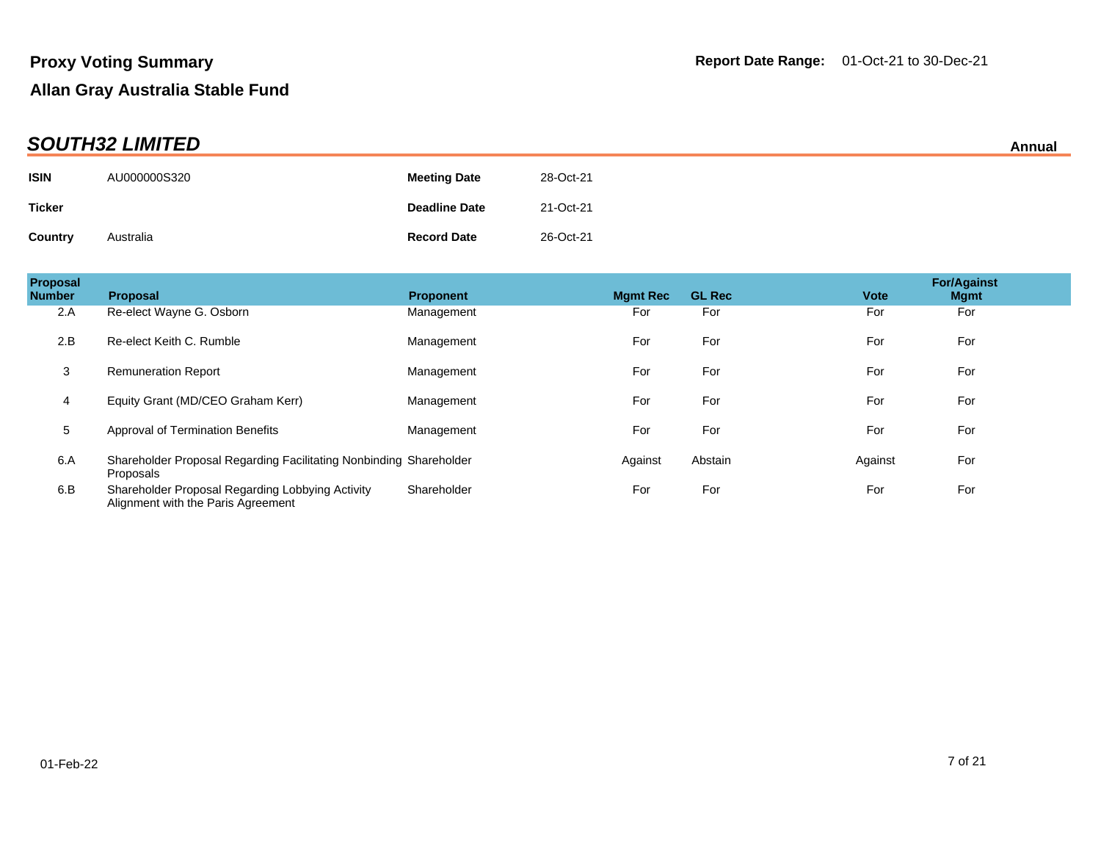| <b>SOUTH32 LIMITED</b> |              |                      |           |  |
|------------------------|--------------|----------------------|-----------|--|
| <b>ISIN</b>            | AU000000S320 | <b>Meeting Date</b>  | 28-Oct-21 |  |
| <b>Ticker</b>          |              | <b>Deadline Date</b> | 21-Oct-21 |  |
| Country                | Australia    | <b>Record Date</b>   | 26-Oct-21 |  |

| Proposal<br><b>Number</b> | <b>Proposal</b>                                                                        | <b>Proponent</b> | <b>Mgmt Rec</b> | <b>GL Rec</b> | <b>Vote</b> | <b>For/Against</b><br><b>Mgmt</b> |
|---------------------------|----------------------------------------------------------------------------------------|------------------|-----------------|---------------|-------------|-----------------------------------|
| 2.A                       | Re-elect Wayne G. Osborn                                                               | Management       | For             | For           | For         | For                               |
| 2.B                       | Re-elect Keith C. Rumble                                                               | Management       | For             | For           | For         | For                               |
| 3                         | <b>Remuneration Report</b>                                                             | Management       | For             | For           | For         | For                               |
| 4                         | Equity Grant (MD/CEO Graham Kerr)                                                      | Management       | For             | For           | For         | For                               |
| 5                         | <b>Approval of Termination Benefits</b>                                                | Management       | For             | For           | For         | For                               |
| 6.A                       | Shareholder Proposal Regarding Facilitating Nonbinding Shareholder<br>Proposals        |                  | Against         | Abstain       | Against     | For                               |
| 6.B                       | Shareholder Proposal Regarding Lobbying Activity<br>Alignment with the Paris Agreement | Shareholder      | For             | For           | For         | For                               |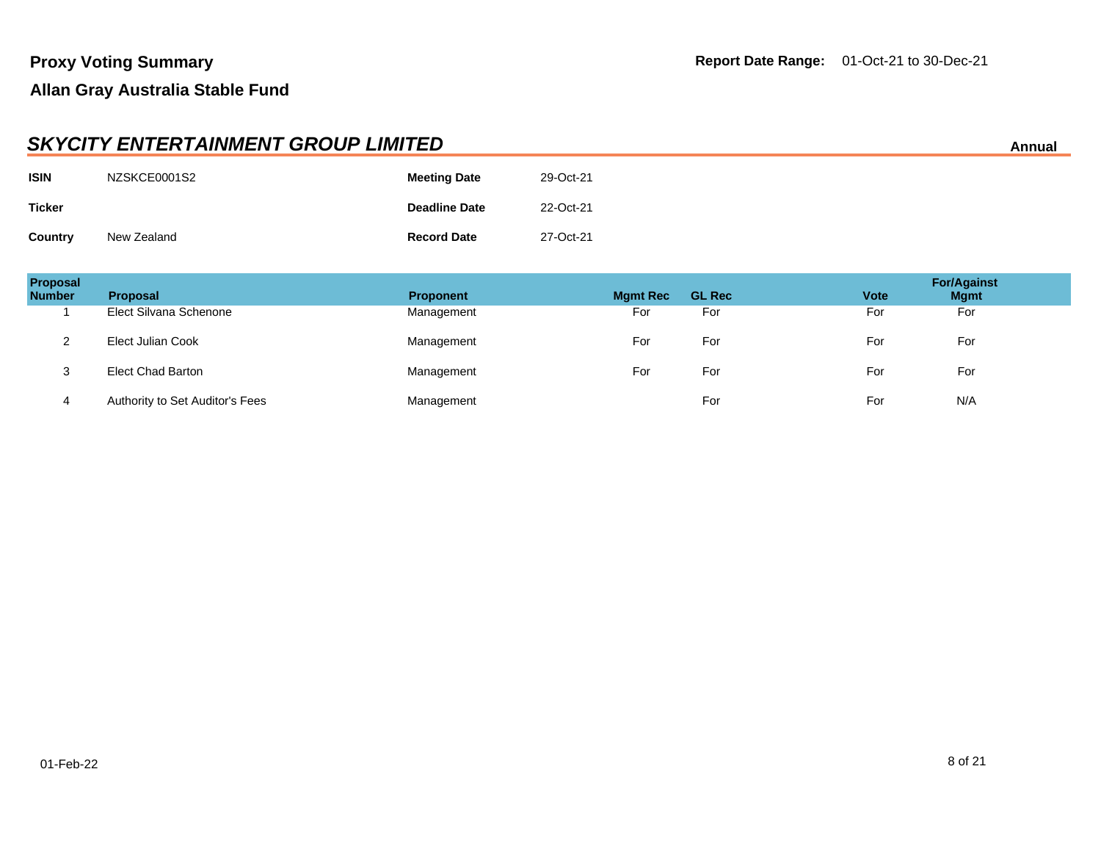|                | <b>SKYCITY ENTERTAINMENT GROUP LIMITED</b><br>Annual |                      |           |  |  |
|----------------|------------------------------------------------------|----------------------|-----------|--|--|
| <b>ISIN</b>    | NZSKCE0001S2                                         | <b>Meeting Date</b>  | 29-Oct-21 |  |  |
| <b>Ticker</b>  |                                                      | <b>Deadline Date</b> | 22-Oct-21 |  |  |
| <b>Country</b> | New Zealand                                          | <b>Record Date</b>   | 27-Oct-21 |  |  |

| Proposal<br><b>Number</b> | <b>Proposal</b>                 | <b>Proponent</b> | <b>Mgmt Rec</b> | <b>GL Rec</b> | <b>Vote</b> | <b>For/Against</b><br><b>Mgmt</b> |
|---------------------------|---------------------------------|------------------|-----------------|---------------|-------------|-----------------------------------|
|                           | Elect Silvana Schenone          | Management       | For             | For           | For         | For                               |
|                           | Elect Julian Cook               | Management       | For             | For           | For         | For                               |
| 3                         | Elect Chad Barton               | Management       | For             | For           | For         | For                               |
| 4                         | Authority to Set Auditor's Fees | Management       |                 | For           | For         | N/A                               |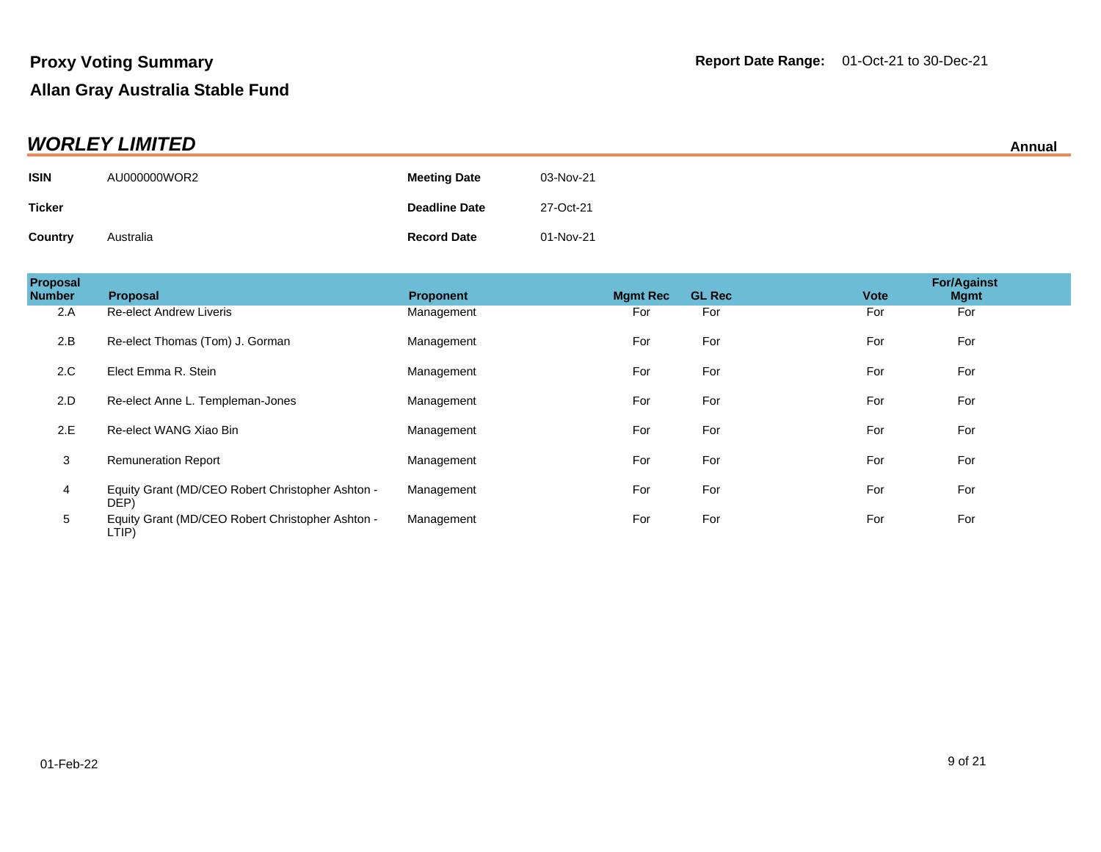| <b>WORLEY LIMITED</b> |              |                      |           |  |
|-----------------------|--------------|----------------------|-----------|--|
| <b>ISIN</b>           | AU000000WOR2 | <b>Meeting Date</b>  | 03-Nov-21 |  |
| <b>Ticker</b>         |              | <b>Deadline Date</b> | 27-Oct-21 |  |
| Country               | Australia    | <b>Record Date</b>   | 01-Nov-21 |  |

| Proposal<br><b>Number</b> | Proposal                                                  | <b>Proponent</b> | <b>Mgmt Rec</b> | <b>GL Rec</b> | <b>Vote</b> | <b>For/Against</b><br><b>Mgmt</b> |
|---------------------------|-----------------------------------------------------------|------------------|-----------------|---------------|-------------|-----------------------------------|
| 2.A                       | <b>Re-elect Andrew Liveris</b>                            | Management       | For             | For           | For         | For                               |
| 2.B                       | Re-elect Thomas (Tom) J. Gorman                           | Management       | For             | For           | For         | For                               |
| 2.C                       | Elect Emma R. Stein                                       | Management       | For             | For           | For         | For                               |
| 2.D                       | Re-elect Anne L. Templeman-Jones                          | Management       | For             | For           | For         | For                               |
| 2.E                       | Re-elect WANG Xiao Bin                                    | Management       | For             | For           | For         | For                               |
| 3                         | <b>Remuneration Report</b>                                | Management       | For             | For           | For         | For                               |
| 4                         | Equity Grant (MD/CEO Robert Christopher Ashton -<br>DEP)  | Management       | For             | For           | For         | For                               |
| 5                         | Equity Grant (MD/CEO Robert Christopher Ashton -<br>LTIP) | Management       | For             | For           | For         | For                               |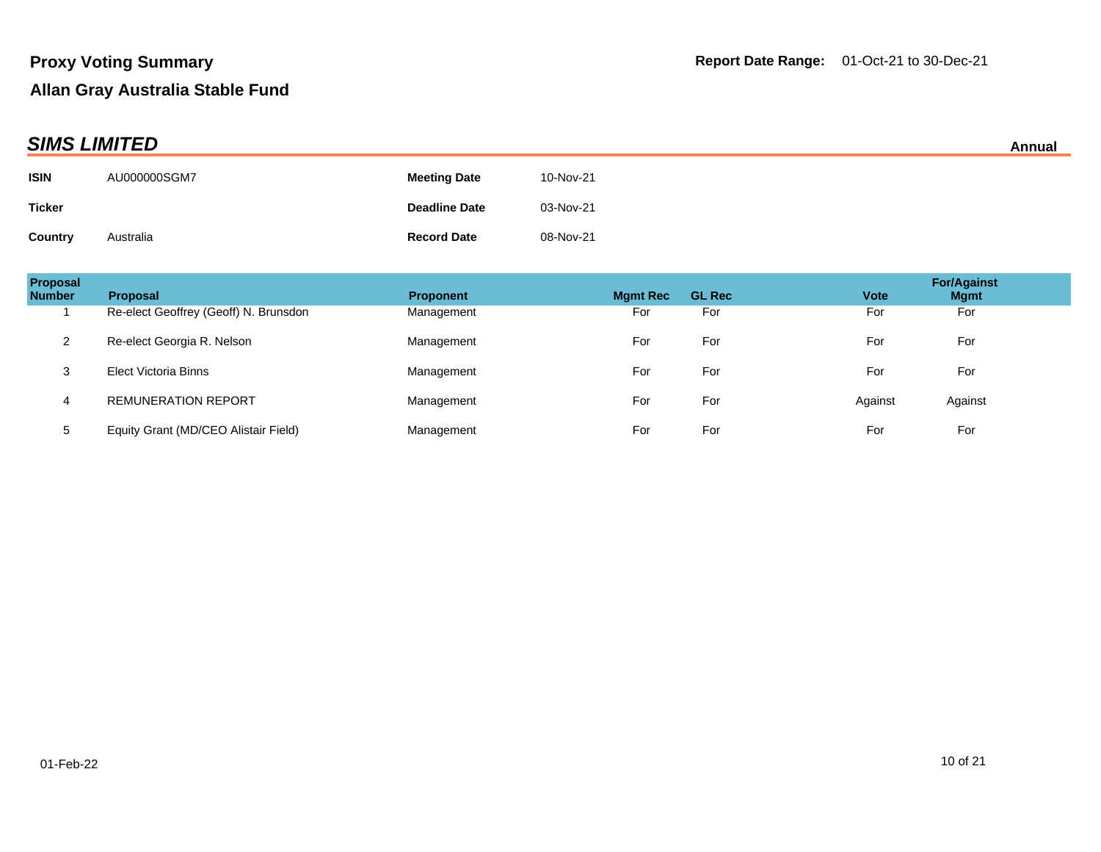| <b>SIMS LIMITED</b> |              |                      |           |  |
|---------------------|--------------|----------------------|-----------|--|
| <b>ISIN</b>         | AU000000SGM7 | <b>Meeting Date</b>  | 10-Nov-21 |  |
| <b>Ticker</b>       |              | <b>Deadline Date</b> | 03-Nov-21 |  |
| <b>Country</b>      | Australia    | <b>Record Date</b>   | 08-Nov-21 |  |

| <b>Proposal</b><br><b>Number</b> | <b>Proposal</b>                       | <b>Proponent</b> | <b>Mamt Rec</b> | <b>GL Rec</b> | <b>Vote</b> | <b>For/Against</b><br><b>Mgmt</b> |
|----------------------------------|---------------------------------------|------------------|-----------------|---------------|-------------|-----------------------------------|
|                                  | Re-elect Geoffrey (Geoff) N. Brunsdon | Management       | For             | For           | For         | For                               |
| 2                                | Re-elect Georgia R. Nelson            | Management       | For             | For           | For         | For                               |
| 3                                | Elect Victoria Binns                  | Management       | For             | For           | For         | For                               |
| 4                                | <b>REMUNERATION REPORT</b>            | Management       | For             | For           | Against     | Against                           |
| 5                                | Equity Grant (MD/CEO Alistair Field)  | Management       | For             | For           | For         | For                               |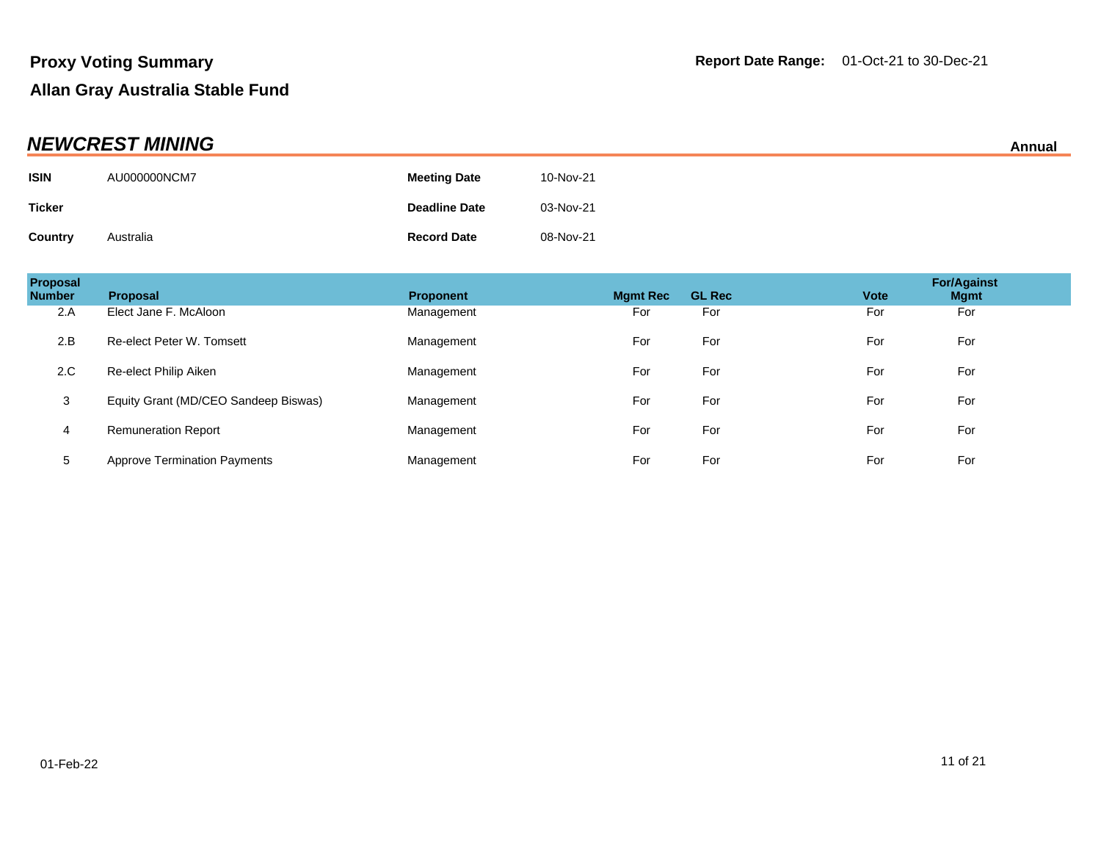| <b>NEWCREST MINING</b> |              |                      | Annual    |  |
|------------------------|--------------|----------------------|-----------|--|
| <b>ISIN</b>            | AU000000NCM7 | <b>Meeting Date</b>  | 10-Nov-21 |  |
| <b>Ticker</b>          |              | <b>Deadline Date</b> | 03-Nov-21 |  |
| <b>Country</b>         | Australia    | <b>Record Date</b>   | 08-Nov-21 |  |

| Proposal<br><b>Number</b> | <b>Proposal</b>                      | <b>Proponent</b> | <b>Mamt Rec</b> | <b>GL Rec</b> | <b>Vote</b> | <b>For/Against</b><br><b>Mgmt</b> |
|---------------------------|--------------------------------------|------------------|-----------------|---------------|-------------|-----------------------------------|
| 2.A                       | Elect Jane F. McAloon                | Management       | For             | For           | For         | For                               |
| 2.B                       | Re-elect Peter W. Tomsett            | Management       | For             | For           | For         | For                               |
| 2.C                       | Re-elect Philip Aiken                | Management       | For             | For           | For         | For                               |
| 3                         | Equity Grant (MD/CEO Sandeep Biswas) | Management       | For             | For           | For         | For                               |
| 4                         | <b>Remuneration Report</b>           | Management       | For             | For           | For         | For                               |
| 5                         | <b>Approve Termination Payments</b>  | Management       | For             | For           | For         | For                               |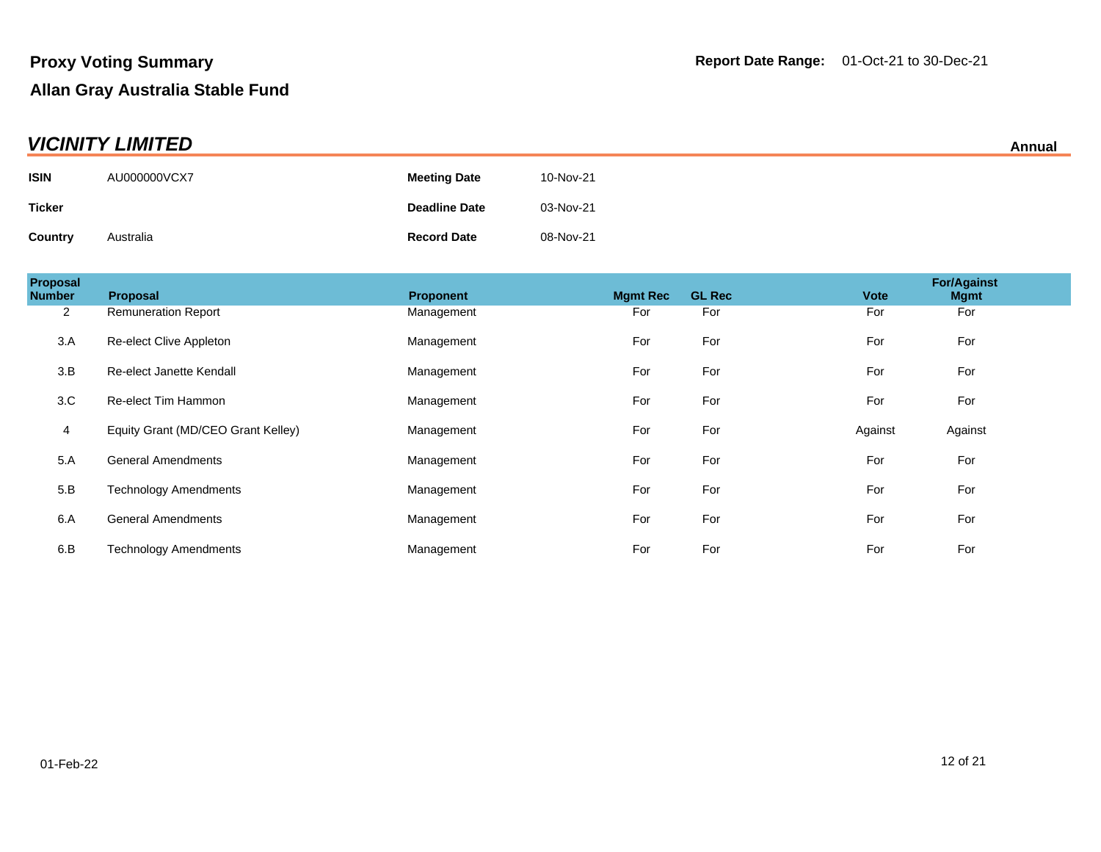| <b>VICINITY LIMITED</b><br>Annual |              |                      |           |  |
|-----------------------------------|--------------|----------------------|-----------|--|
| <b>ISIN</b>                       | AU000000VCX7 | <b>Meeting Date</b>  | 10-Nov-21 |  |
| <b>Ticker</b>                     |              | <b>Deadline Date</b> | 03-Nov-21 |  |
| Country                           | Australia    | <b>Record Date</b>   | 08-Nov-21 |  |

| Proposal<br><b>Number</b> | Proposal                           | Proponent  | <b>Mgmt Rec</b> | <b>GL Rec</b> | <b>Vote</b> | <b>For/Against</b><br><b>Mgmt</b> |
|---------------------------|------------------------------------|------------|-----------------|---------------|-------------|-----------------------------------|
| $\overline{2}$            | <b>Remuneration Report</b>         | Management | For             | For           | For         | For                               |
| 3.A                       | Re-elect Clive Appleton            | Management | For             | For           | For         | For                               |
| 3.B                       | Re-elect Janette Kendall           | Management | For             | For           | For         | For                               |
| 3.C                       | Re-elect Tim Hammon                | Management | For             | For           | For         | For                               |
| 4                         | Equity Grant (MD/CEO Grant Kelley) | Management | For             | For           | Against     | Against                           |
| 5.A                       | <b>General Amendments</b>          | Management | For             | For           | For         | For                               |
| 5.B                       | <b>Technology Amendments</b>       | Management | For             | For           | For         | For                               |
| 6.A                       | <b>General Amendments</b>          | Management | For             | For           | For         | For                               |
| 6.B                       | <b>Technology Amendments</b>       | Management | For             | For           | For         | For                               |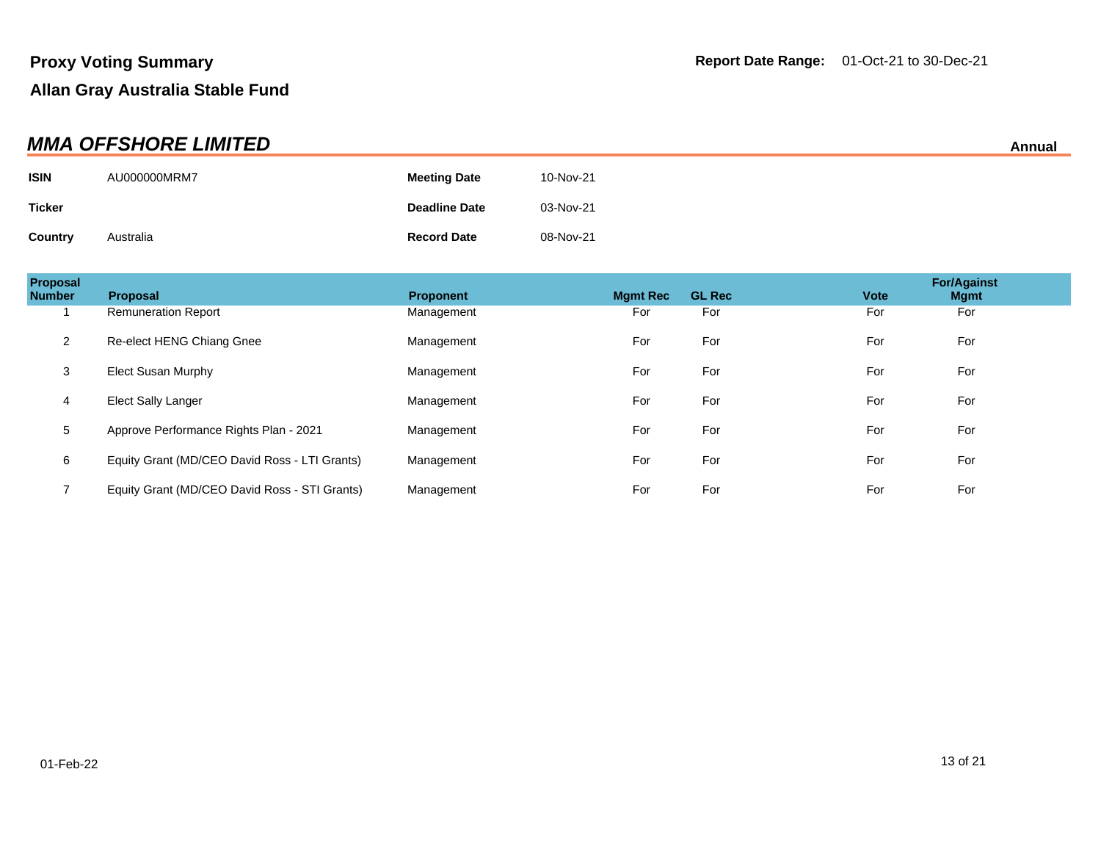| <b>MMA OFFSHORE LIMITED</b><br>Annual |              |                      |           |  |
|---------------------------------------|--------------|----------------------|-----------|--|
| <b>ISIN</b>                           | AU000000MRM7 | <b>Meeting Date</b>  | 10-Nov-21 |  |
| <b>Ticker</b>                         |              | <b>Deadline Date</b> | 03-Nov-21 |  |
| Country                               | Australia    | <b>Record Date</b>   | 08-Nov-21 |  |

| Proposal<br><b>Number</b> | <b>Proposal</b>                               | <b>Proponent</b> | <b>Mamt Rec</b> | <b>GL Rec</b> | <b>Vote</b> | <b>For/Against</b><br><b>Mgmt</b> |
|---------------------------|-----------------------------------------------|------------------|-----------------|---------------|-------------|-----------------------------------|
|                           | <b>Remuneration Report</b>                    | Management       | For             | For           | For         | For                               |
| 2                         | Re-elect HENG Chiang Gnee                     | Management       | For             | For           | For         | For                               |
| 3                         | Elect Susan Murphy                            | Management       | For             | For           | For         | For                               |
| 4                         | Elect Sally Langer                            | Management       | For             | For           | For         | For                               |
| 5                         | Approve Performance Rights Plan - 2021        | Management       | For             | For           | For         | For                               |
| 6                         | Equity Grant (MD/CEO David Ross - LTI Grants) | Management       | For             | For           | For         | For                               |
|                           | Equity Grant (MD/CEO David Ross - STI Grants) | Management       | For             | For           | For         | For                               |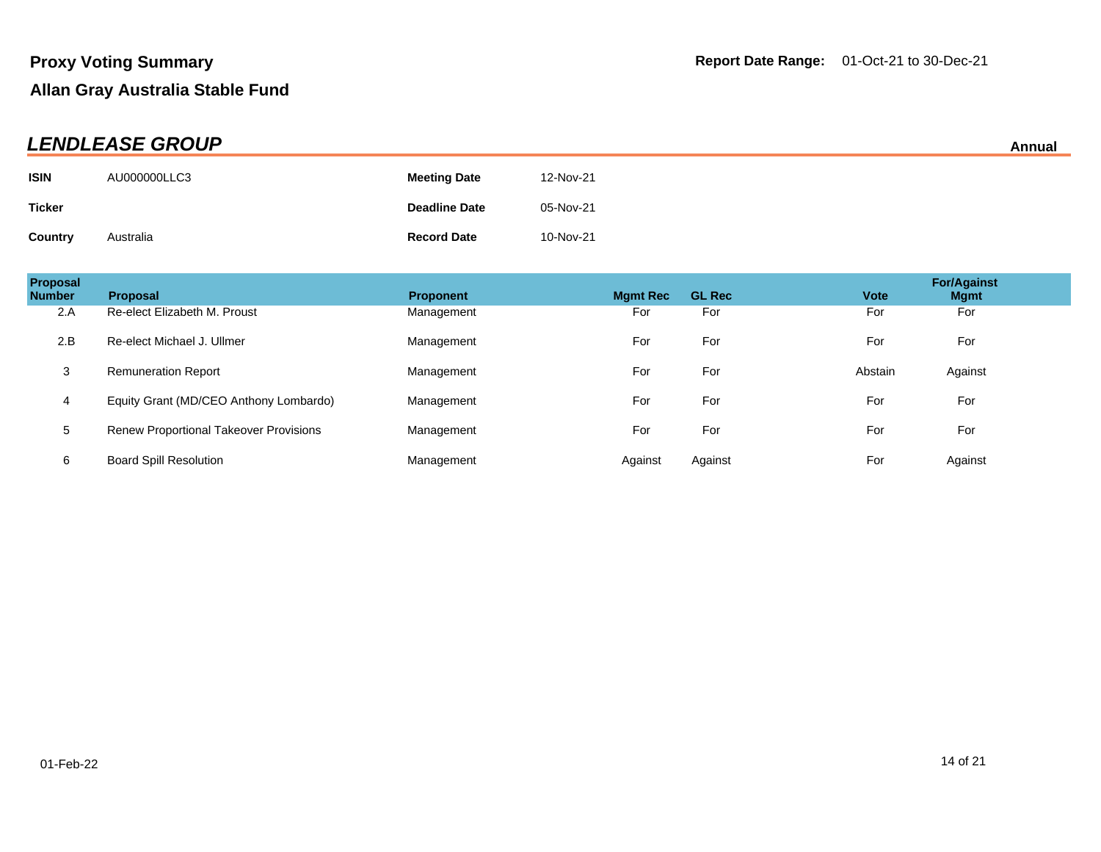| <b>LENDLEASE GROUP</b> |              |                      |           | Annual |
|------------------------|--------------|----------------------|-----------|--------|
| <b>ISIN</b>            | AU000000LLC3 | <b>Meeting Date</b>  | 12-Nov-21 |        |
| <b>Ticker</b>          |              | <b>Deadline Date</b> | 05-Nov-21 |        |
| <b>Country</b>         | Australia    | <b>Record Date</b>   | 10-Nov-21 |        |

| Proposal<br><b>Number</b> | <b>Proposal</b>                               | <b>Proponent</b> | <b>Mgmt Rec</b> | <b>GL Rec</b> | <b>Vote</b> | <b>For/Against</b><br><b>Mgmt</b> |
|---------------------------|-----------------------------------------------|------------------|-----------------|---------------|-------------|-----------------------------------|
| 2.A                       | Re-elect Elizabeth M. Proust                  | Management       | For             | For           | For         | For                               |
| 2.B                       | Re-elect Michael J. Ullmer                    | Management       | For             | For           | For         | For                               |
| 3                         | <b>Remuneration Report</b>                    | Management       | For             | For           | Abstain     | Against                           |
| 4                         | Equity Grant (MD/CEO Anthony Lombardo)        | Management       | For             | For           | For         | For                               |
| 5                         | <b>Renew Proportional Takeover Provisions</b> | Management       | For             | For           | For         | For                               |
| 6                         | <b>Board Spill Resolution</b>                 | Management       | Against         | Against       | For         | Against                           |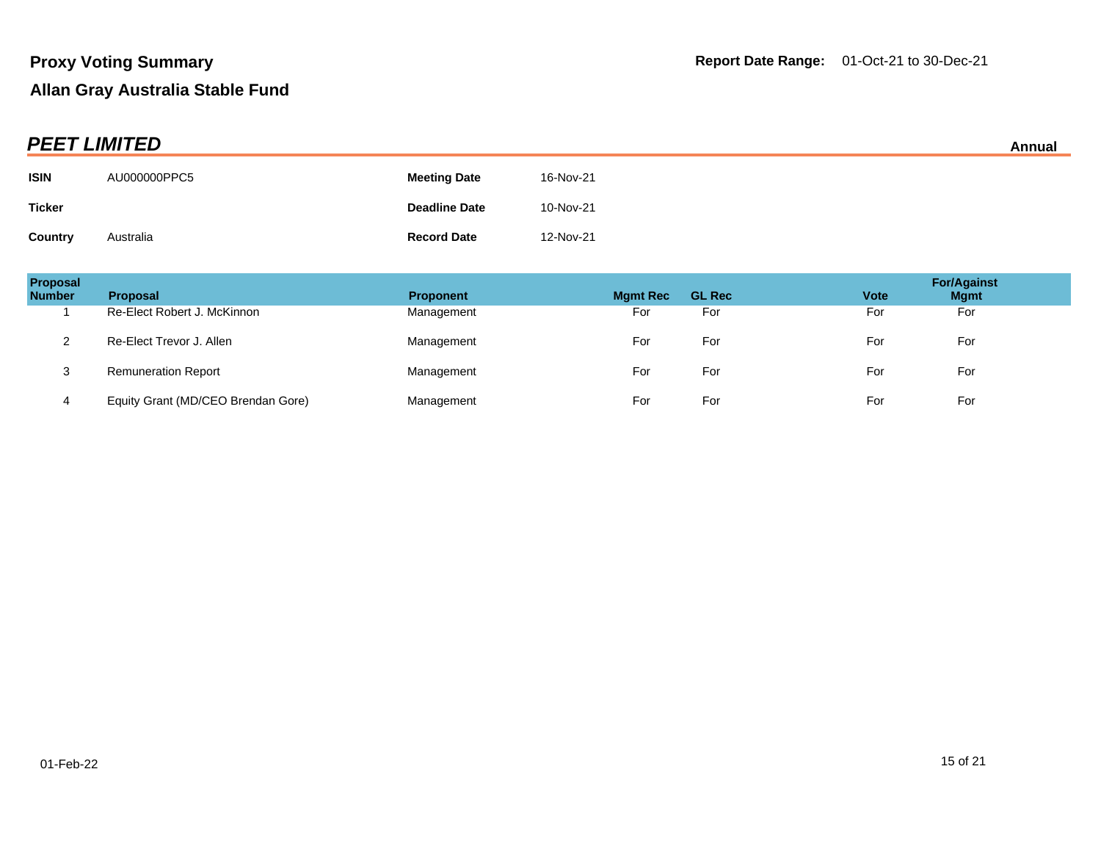| <b>PEET LIMITED</b> |              |                      |           | Annual |
|---------------------|--------------|----------------------|-----------|--------|
| <b>ISIN</b>         | AU000000PPC5 | <b>Meeting Date</b>  | 16-Nov-21 |        |
| <b>Ticker</b>       |              | <b>Deadline Date</b> | 10-Nov-21 |        |
| <b>Country</b>      | Australia    | <b>Record Date</b>   | 12-Nov-21 |        |

| Proposal<br><b>Number</b> | <b>Proposal</b>                    | <b>Proponent</b> | <b>Mgmt Rec</b> | <b>GL Rec</b> | <b>Vote</b> | <b>For/Against</b><br><b>Mgmt</b> |
|---------------------------|------------------------------------|------------------|-----------------|---------------|-------------|-----------------------------------|
|                           | Re-Elect Robert J. McKinnon        | Management       | For             | For           | For         | For                               |
| $\sim$                    | Re-Elect Trevor J. Allen           | Management       | For             | For           | For         | For                               |
| 3                         | <b>Remuneration Report</b>         | Management       | For             | For           | For         | For                               |
| 4                         | Equity Grant (MD/CEO Brendan Gore) | Management       | For             | For           | For         | For                               |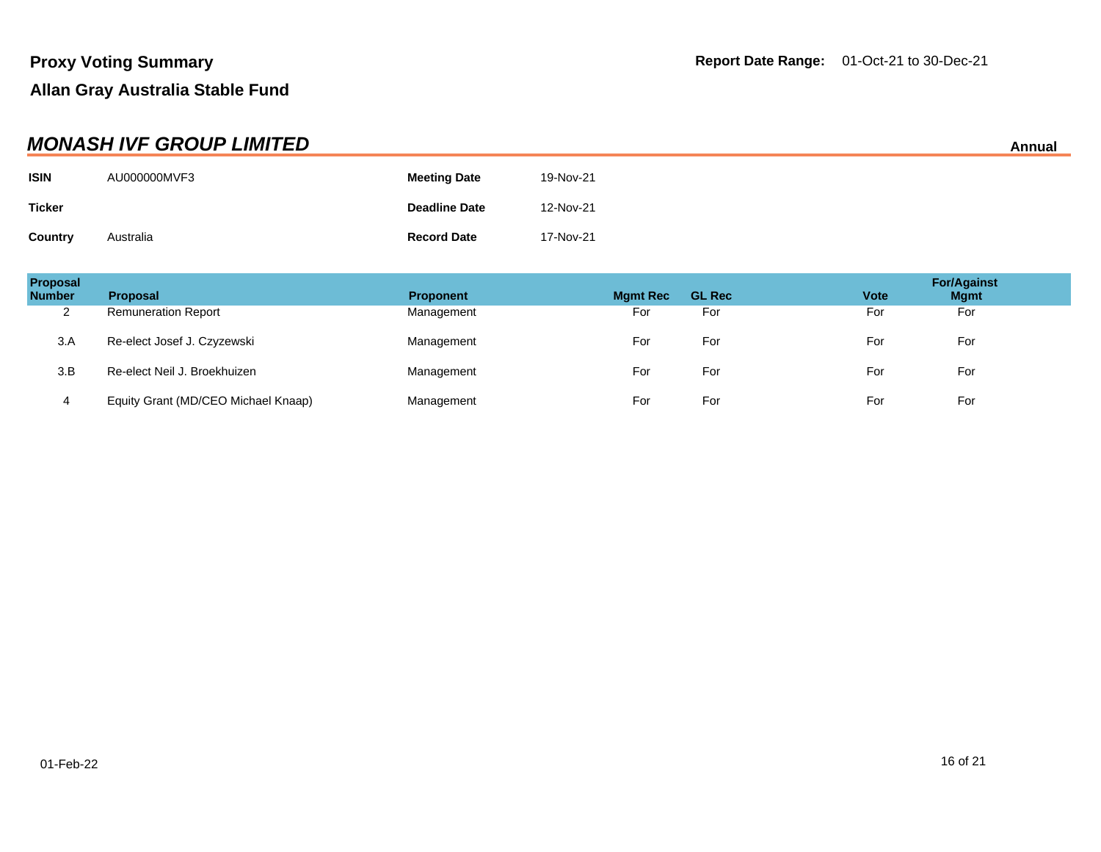| <b>MONASH IVF GROUP LIMITED</b> |              |                      |           |  |
|---------------------------------|--------------|----------------------|-----------|--|
| <b>ISIN</b>                     | AU000000MVF3 | <b>Meeting Date</b>  | 19-Nov-21 |  |
| <b>Ticker</b>                   |              | <b>Deadline Date</b> | 12-Nov-21 |  |
| Country                         | Australia    | <b>Record Date</b>   | 17-Nov-21 |  |

| Proposal<br><b>Number</b> | <b>Proposal</b>                     | <b>Proponent</b> | <b>Mgmt Rec</b> | <b>GL Rec</b> | <b>Vote</b> | <b>For/Against</b><br><b>Mgmt</b> |
|---------------------------|-------------------------------------|------------------|-----------------|---------------|-------------|-----------------------------------|
| 2                         | <b>Remuneration Report</b>          | Management       | For             | For           | For         | For                               |
| 3.A                       | Re-elect Josef J. Czyzewski         | Management       | For             | For           | For         | For                               |
| 3.B                       | Re-elect Neil J. Broekhuizen        | Management       | For             | For           | For         | For                               |
| 4                         | Equity Grant (MD/CEO Michael Knaap) | Management       | For             | For           | For         | For                               |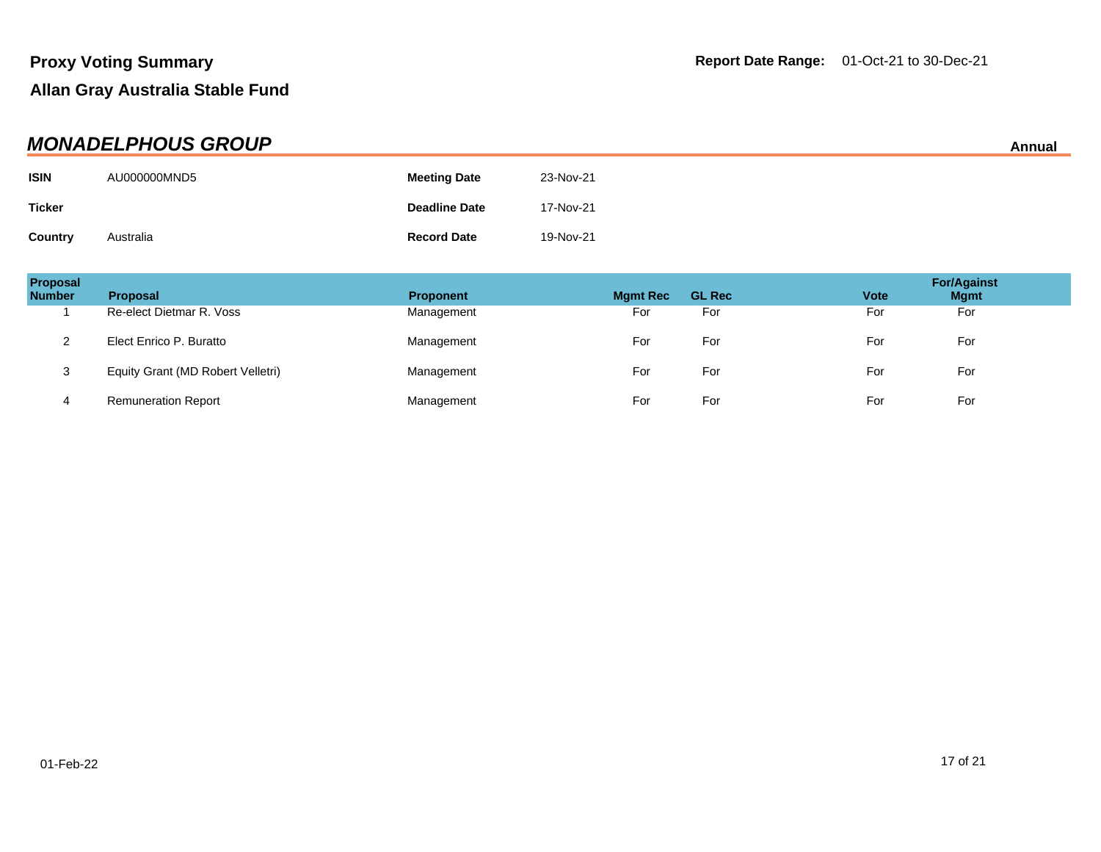| <b>MONADELPHOUS GROUP</b> |              |                      |           |  |
|---------------------------|--------------|----------------------|-----------|--|
| <b>ISIN</b>               | AU000000MND5 | <b>Meeting Date</b>  | 23-Nov-21 |  |
| <b>Ticker</b>             |              | <b>Deadline Date</b> | 17-Nov-21 |  |
| <b>Country</b>            | Australia    | <b>Record Date</b>   | 19-Nov-21 |  |

| Proposal<br><b>Number</b> | <b>Proposal</b>                   | <b>Proponent</b> | <b>Mgmt Rec</b> | <b>GL Rec</b> | <b>Vote</b> | <b>For/Against</b><br><b>Mgmt</b> |
|---------------------------|-----------------------------------|------------------|-----------------|---------------|-------------|-----------------------------------|
|                           | Re-elect Dietmar R. Voss          | Management       | For             | For           | For         | For                               |
|                           | Elect Enrico P. Buratto           | Management       | For             | For           | For         | For                               |
|                           | Equity Grant (MD Robert Velletri) | Management       | For             | For           | For         | For                               |
| 4                         | <b>Remuneration Report</b>        | Management       | For             | For           | For         | For                               |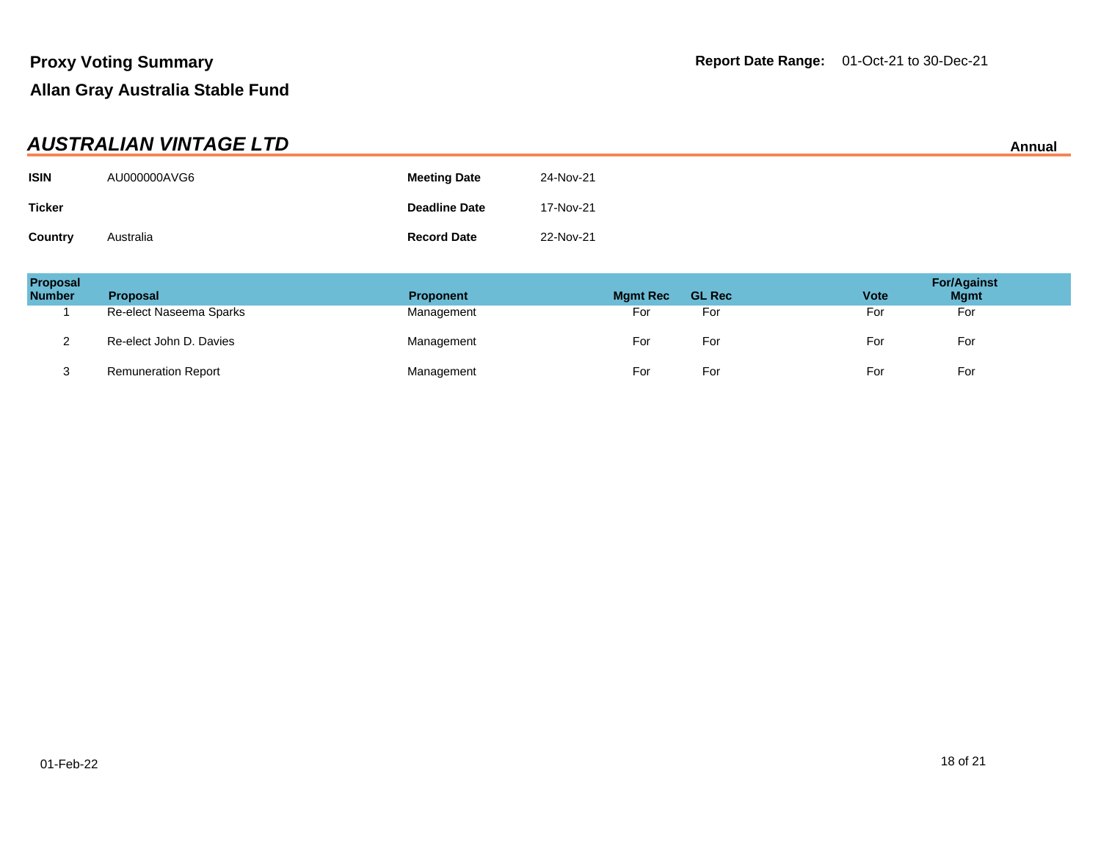| <b>AUSTRALIAN VINTAGE LTD</b> |              |                      |           |  |
|-------------------------------|--------------|----------------------|-----------|--|
| <b>ISIN</b>                   | AU000000AVG6 | <b>Meeting Date</b>  | 24-Nov-21 |  |
| <b>Ticker</b>                 |              | <b>Deadline Date</b> | 17-Nov-21 |  |
| Country                       | Australia    | <b>Record Date</b>   | 22-Nov-21 |  |

| Proposal<br><b>Number</b> | <b>Proposal</b>            | <b>Proponent</b> | <b>Mgmt Rec</b> | <b>GL Rec</b> | <b>Vote</b> | <b>For/Against</b><br><b>Mgmt</b> |
|---------------------------|----------------------------|------------------|-----------------|---------------|-------------|-----------------------------------|
|                           | Re-elect Naseema Sparks    | Management       | For             | For           | For         | For                               |
|                           | Re-elect John D. Davies    | Management       | For             | For           | For         | For                               |
|                           | <b>Remuneration Report</b> | Management       | For             | For           | For         | For                               |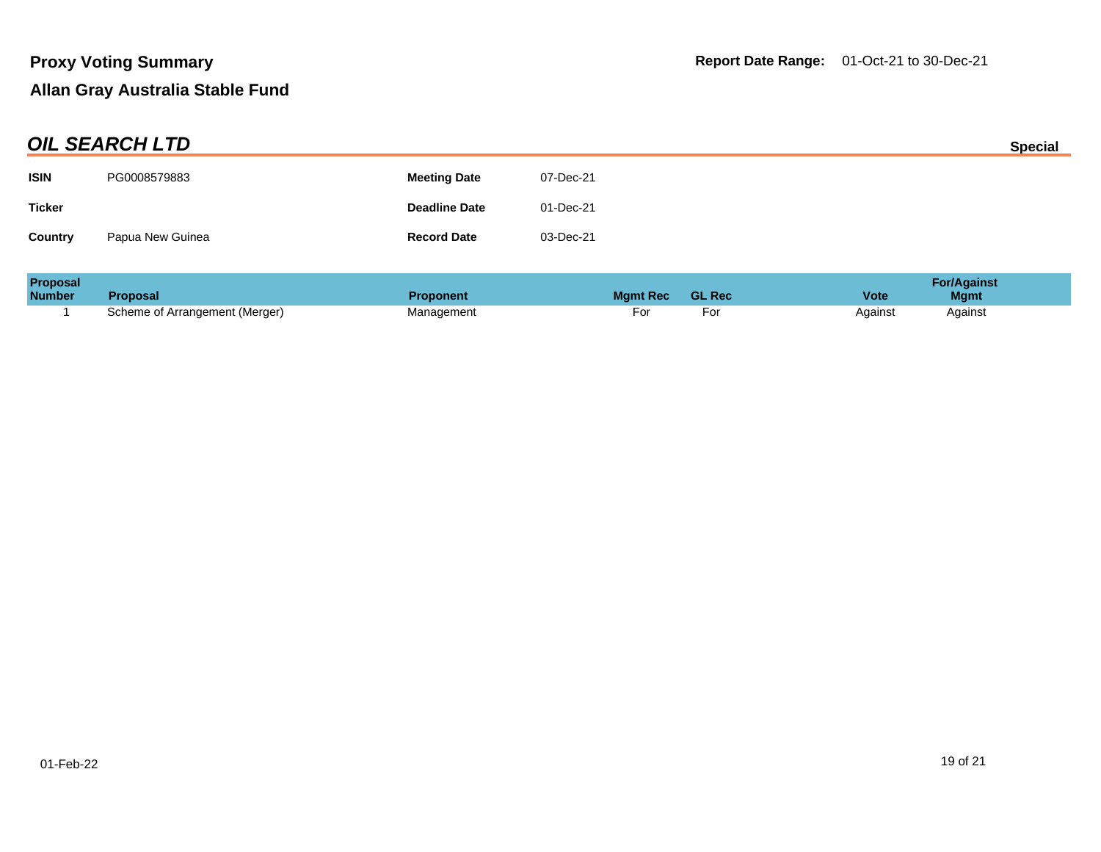| <b>OIL SEARCH LTD</b> |                  |                      |           | <b>Special</b> |
|-----------------------|------------------|----------------------|-----------|----------------|
| <b>ISIN</b>           | PG0008579883     | <b>Meeting Date</b>  | 07-Dec-21 |                |
| <b>Ticker</b>         |                  | <b>Deadline Date</b> | 01-Dec-21 |                |
| <b>Country</b>        | Papua New Guinea | <b>Record Date</b>   | 03-Dec-21 |                |

| <b>Proposal</b> |                                | <b>For/Against</b> |                 |               |                            |
|-----------------|--------------------------------|--------------------|-----------------|---------------|----------------------------|
| <b>Number</b>   | <b>Proposal</b>                | <b>Proponent</b>   | <b>Mamt Rec</b> | <b>GL Rec</b> | <b>Vote</b><br><b>Mgmt</b> |
|                 | Scheme of Arrangement (Merger) | Management         | וש              |               | Against<br>Against         |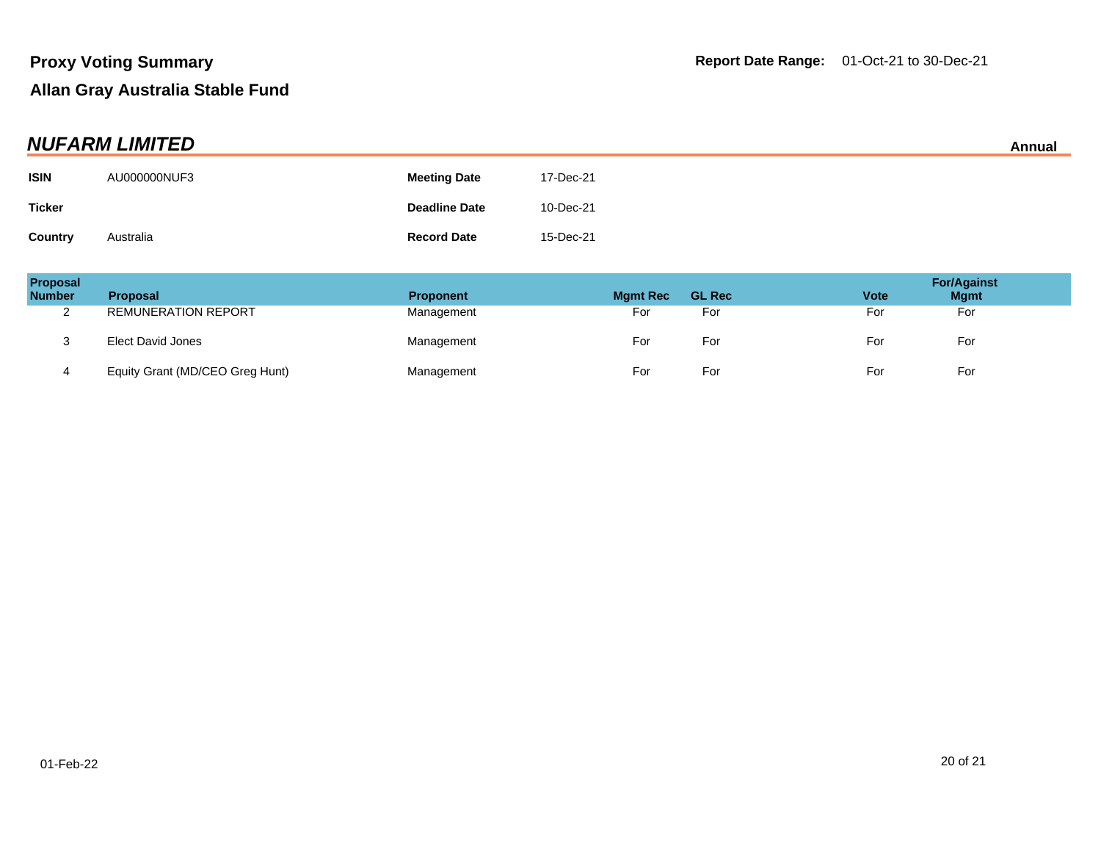| <b>NUFARM LIMITED</b> |              |                      |           |  |
|-----------------------|--------------|----------------------|-----------|--|
| <b>ISIN</b>           | AU000000NUF3 | <b>Meeting Date</b>  | 17-Dec-21 |  |
| <b>Ticker</b>         |              | <b>Deadline Date</b> | 10-Dec-21 |  |
| Country               | Australia    | <b>Record Date</b>   | 15-Dec-21 |  |

| Proposal<br><b>Number</b> | <b>Proposal</b>                 | <b>Proponent</b> | <b>Mgmt Rec</b> | <b>GL Rec</b> | <b>Vote</b> | <b>For/Against</b><br><b>Mgmt</b> |
|---------------------------|---------------------------------|------------------|-----------------|---------------|-------------|-----------------------------------|
| ົ<br><u>_</u>             | <b>REMUNERATION REPORT</b>      | Management       | For             | For           | For         | For                               |
| J                         | Elect David Jones               | Management       | For             | For           | For         | For                               |
| 4                         | Equity Grant (MD/CEO Greg Hunt) | Management       | For             | For           | For         | For                               |